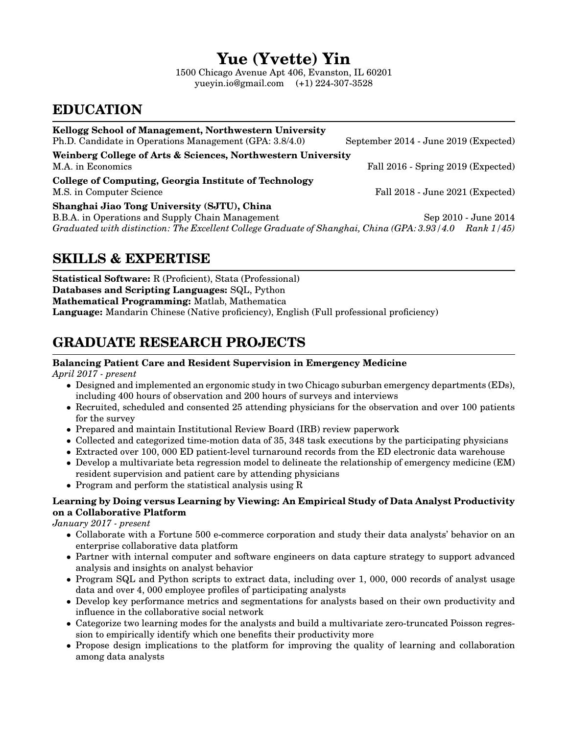# **Yue (Yvette) Yin**

1500 Chicago Avenue Apt 406, Evanston, IL 60201 yueyin.io@gmail.com (+1) 224-307-3528

### **EDUCATION**

| Kellogg School of Management, Northwestern University<br>Ph.D. Candidate in Operations Management (GPA: 3.8/4.0)                                                                                 | September 2014 - June 2019 (Expected) |
|--------------------------------------------------------------------------------------------------------------------------------------------------------------------------------------------------|---------------------------------------|
| Weinberg College of Arts & Sciences, Northwestern University<br>M.A. in Economics                                                                                                                | Fall 2016 - Spring 2019 (Expected)    |
| College of Computing, Georgia Institute of Technology<br>M.S. in Computer Science                                                                                                                | Fall 2018 - June 2021 (Expected)      |
| Shanghai Jiao Tong University (SJTU), China<br>B.B.A. in Operations and Supply Chain Management<br>Graduated with distinction: The Excellent College Graduate of Shanghai, China (GPA: 3.93/4.0) | Sep 2010 - June 2014<br>$Rank\ 1/45$  |

### **SKILLS & EXPERTISE**

**Statistical Software:** R (Proficient), Stata (Professional) **Databases and Scripting Languages:** SQL, Python **Mathematical Programming:** Matlab, Mathematica **Language:** Mandarin Chinese (Native proficiency), English (Full professional proficiency)

## **GRADUATE RESEARCH PROJECTS**

#### **Balancing Patient Care and Resident Supervision in Emergency Medicine**

*April 2017 - present*

- Designed and implemented an ergonomic study in two Chicago suburban emergency departments (EDs), including 400 hours of observation and 200 hours of surveys and interviews
- Recruited, scheduled and consented 25 attending physicians for the observation and over 100 patients for the survey
- Prepared and maintain Institutional Review Board (IRB) review paperwork
- Collected and categorized time-motion data of 35, 348 task executions by the participating physicians
- Extracted over 100, 000 ED patient-level turnaround records from the ED electronic data warehouse
- Develop a multivariate beta regression model to delineate the relationship of emergency medicine (EM) resident supervision and patient care by attending physicians
- Program and perform the statistical analysis using R

#### **Learning by Doing versus Learning by Viewing: An Empirical Study of Data Analyst Productivity on a Collaborative Platform**

*January 2017 - present*

- Collaborate with a Fortune 500 e-commerce corporation and study their data analysts' behavior on an enterprise collaborative data platform
- Partner with internal computer and software engineers on data capture strategy to support advanced analysis and insights on analyst behavior
- Program SQL and Python scripts to extract data, including over 1, 000, 000 records of analyst usage data and over 4, 000 employee profiles of participating analysts
- Develop key performance metrics and segmentations for analysts based on their own productivity and influence in the collaborative social network
- Categorize two learning modes for the analysts and build a multivariate zero-truncated Poisson regression to empirically identify which one benefits their productivity more
- Propose design implications to the platform for improving the quality of learning and collaboration among data analysts